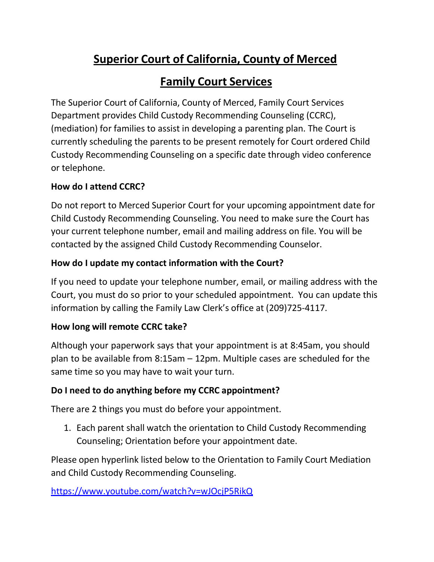# Superior Court of California, County of Merced

# Family Court Services

The Superior Court of California, County of Merced, Family Court Services Department provides Child Custody Recommending Counseling (CCRC), (mediation) for families to assist in developing a parenting plan. The Court is currently scheduling the parents to be present remotely for Court ordered Child Custody Recommending Counseling on a specific date through video conference or telephone.

#### How do I attend CCRC?

Do not report to Merced Superior Court for your upcoming appointment date for Child Custody Recommending Counseling. You need to make sure the Court has your current telephone number, email and mailing address on file. You will be contacted by the assigned Child Custody Recommending Counselor.

# How do I update my contact information with the Court?

If you need to update your telephone number, email, or mailing address with the Court, you must do so prior to your scheduled appointment. You can update this information by calling the Family Law Clerk's office at (209)725-4117.

# How long will remote CCRC take?

Although your paperwork says that your appointment is at 8:45am, you should plan to be available from 8:15am – 12pm. Multiple cases are scheduled for the same time so you may have to wait your turn.

# Do I need to do anything before my CCRC appointment?

There are 2 things you must do before your appointment.

1. Each parent shall watch the orientation to Child Custody Recommending Counseling; Orientation before your appointment date.

Please open hyperlink listed below to the Orientation to Family Court Mediation and Child Custody Recommending Counseling.

https://www.youtube.com/watch?v=wJOcjP5RikQ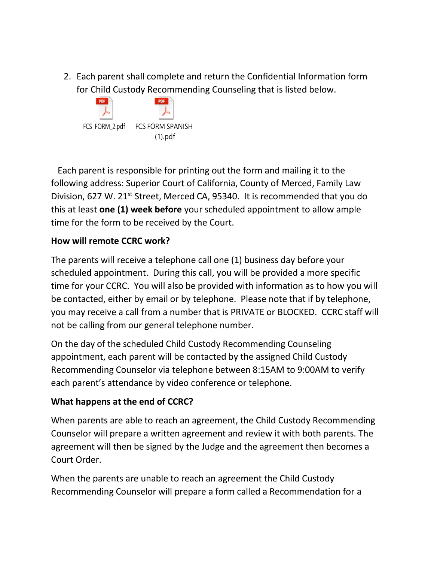2. Each parent shall complete and return the Confidential Information form for Child Custody Recommending Counseling that is listed below.



Each parent is responsible for printing out the form and mailing it to the following address: Superior Court of California, County of Merced, Family Law Division, 627 W. 21<sup>st</sup> Street, Merced CA, 95340. It is recommended that you do this at least one (1) week before your scheduled appointment to allow ample time for the form to be received by the Court.

#### How will remote CCRC work?

The parents will receive a telephone call one (1) business day before your scheduled appointment. During this call, you will be provided a more specific time for your CCRC. You will also be provided with information as to how you will be contacted, either by email or by telephone. Please note that if by telephone, you may receive a call from a number that is PRIVATE or BLOCKED. CCRC staff will not be calling from our general telephone number.

On the day of the scheduled Child Custody Recommending Counseling appointment, each parent will be contacted by the assigned Child Custody Recommending Counselor via telephone between 8:15AM to 9:00AM to verify each parent's attendance by video conference or telephone.

# What happens at the end of CCRC?

When parents are able to reach an agreement, the Child Custody Recommending Counselor will prepare a written agreement and review it with both parents. The agreement will then be signed by the Judge and the agreement then becomes a Court Order.

When the parents are unable to reach an agreement the Child Custody Recommending Counselor will prepare a form called a Recommendation for a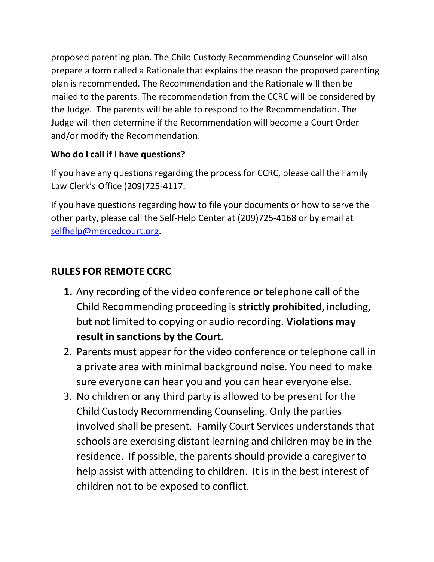proposed parenting plan. The Child Custody Recommending Counselor will also prepare a form called a Rationale that explains the reason the proposed parenting plan is recommended. The Recommendation and the Rationale will then be mailed to the parents. The recommendation from the CCRC will be considered by the Judge. The parents will be able to respond to the Recommendation. The Judge will then determine if the Recommendation will become a Court Order and/or modify the Recommendation.

#### Who do I call if I have questions?

If you have any questions regarding the process for CCRC, please call the Family Law Clerk's Office (209)725-4117.

If you have questions regarding how to file your documents or how to serve the other party, please call the Self-Help Center at (209)725-4168 or by email at selfhelp@mercedcourt.org.

# RULES FOR REMOTE CCRC

- 1. Any recording of the video conference or telephone call of the Child Recommending proceeding is strictly prohibited, including, but not limited to copying or audio recording. Violations may result in sanctions by the Court.
- 2. Parents must appear for the video conference or telephone call in a private area with minimal background noise. You need to make sure everyone can hear you and you can hear everyone else.
- 3. No children or any third party is allowed to be present for the Child Custody Recommending Counseling. Only the parties involved shall be present. Family Court Services understands that schools are exercising distant learning and children may be in the residence. If possible, the parents should provide a caregiver to help assist with attending to children. It is in the best interest of children not to be exposed to conflict.